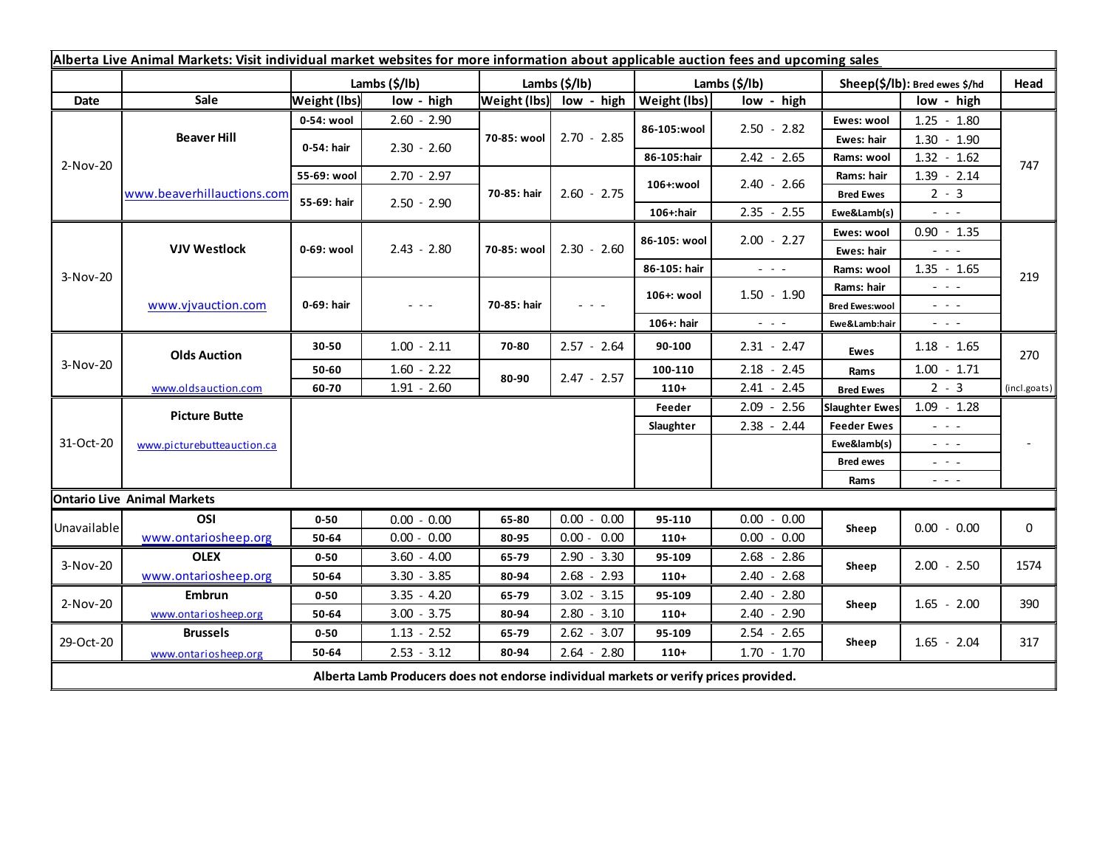| Alberta Live Animal Markets: Visit individual market websites for more information about applicable auction fees and upcoming sales |                            |                     |               |               |                         |                           |                                                           |                               |                                                                                                                           |              |
|-------------------------------------------------------------------------------------------------------------------------------------|----------------------------|---------------------|---------------|---------------|-------------------------|---------------------------|-----------------------------------------------------------|-------------------------------|---------------------------------------------------------------------------------------------------------------------------|--------------|
|                                                                                                                                     |                            | Lambs (\$/lb)       |               | Lambs (\$/lb) |                         | Lambs $(\frac{2}{3})$ lb) |                                                           | Sheep(\$/lb): Bred ewes \$/hd |                                                                                                                           | Head         |
| Date                                                                                                                                | Sale                       | <b>Weight (lbs)</b> | low - high    |               | Weight (lbs) low - high | <b>Weight (lbs)</b>       | low - high                                                |                               | low - high                                                                                                                |              |
| 2-Nov-20                                                                                                                            | <b>Beaver Hill</b>         | 0-54: wool          | $2.60 - 2.90$ | 70-85: wool   | $2.70 - 2.85$           | 86-105:wool               | $2.50 - 2.82$                                             | Ewes: wool                    | $1.25 - 1.80$                                                                                                             |              |
|                                                                                                                                     |                            | 0-54: hair          | $2.30 - 2.60$ |               |                         |                           |                                                           | Ewes: hair                    | $1.30 - 1.90$                                                                                                             |              |
|                                                                                                                                     |                            |                     |               |               |                         | 86-105:hair               | $2.42 - 2.65$                                             | Rams: wool                    | $1.32 - 1.62$                                                                                                             | 747          |
|                                                                                                                                     | www.beaverhillauctions.com | 55-69: wool         | $2.70 - 2.97$ | 70-85: hair   | $2.60 - 2.75$           | 106+:wool                 | $2.40 - 2.66$                                             | Rams: hair                    | $1.39 - 2.14$                                                                                                             |              |
|                                                                                                                                     |                            | 55-69: hair         | $2.50 - 2.90$ |               |                         |                           |                                                           | <b>Bred Ewes</b>              | $2 - 3$                                                                                                                   |              |
|                                                                                                                                     |                            |                     |               |               |                         | 106+:hair                 | $2.35 - 2.55$                                             | Ewe&Lamb(s)                   | $\sim$ $\sim$ $\sim$                                                                                                      |              |
| 3-Nov-20                                                                                                                            | <b>VJV Westlock</b>        | 0-69: wool          | $2.43 - 2.80$ | 70-85: wool   | $2.30 - 2.60$           | 86-105: wool              | $2.00 - 2.27$                                             | Ewes: wool                    | $0.90 - 1.35$                                                                                                             |              |
|                                                                                                                                     |                            |                     |               |               |                         |                           |                                                           | Ewes: hair                    | $  -$                                                                                                                     |              |
|                                                                                                                                     |                            |                     |               |               |                         | 86-105: hair              | $\omega_{\rm{c}}$ , $\omega_{\rm{c}}$ , $\omega_{\rm{c}}$ | Rams: wool                    | $1.35 - 1.65$                                                                                                             | 219          |
|                                                                                                                                     | www.vjvauction.com         | 0-69: hair          | $  -$         | 70-85: hair   | $  -$                   | 106+: wool                | $1.50 - 1.90$                                             | Rams: hair                    | $  -$                                                                                                                     |              |
|                                                                                                                                     |                            |                     |               |               |                         |                           |                                                           | <b>Bred Ewes:wool</b>         | $  -$                                                                                                                     |              |
|                                                                                                                                     |                            |                     |               |               |                         | 106+: hair                | $ -$                                                      | Ewe&Lamb:hair                 | $\frac{1}{2} \left( \frac{1}{2} \right) \left( \frac{1}{2} \right) \left( \frac{1}{2} \right) \left( \frac{1}{2} \right)$ |              |
| 3-Nov-20                                                                                                                            | <b>Olds Auction</b>        | 30-50               | $1.00 - 2.11$ | 70-80         | $2.57 - 2.64$           | 90-100                    | $2.31 - 2.47$                                             | Ewes                          | $1.18 - 1.65$                                                                                                             | 270          |
|                                                                                                                                     |                            | 50-60               | $1.60 - 2.22$ | 80-90         | $2.47 - 2.57$           | 100-110                   | $2.18 - 2.45$                                             | Rams                          | $1.00 - 1.71$                                                                                                             |              |
|                                                                                                                                     | www.oldsauction.com        | 60-70               | $1.91 - 2.60$ |               |                         | $110+$                    | $2.41 - 2.45$                                             | <b>Bred Ewes</b>              | $2 - 3$                                                                                                                   | (incl.goats) |
| 31-Oct-20                                                                                                                           | <b>Picture Butte</b>       |                     |               |               |                         | Feeder                    | $2.09 - 2.56$                                             | <b>Slaughter Ewes</b>         | $1.09 - 1.28$                                                                                                             |              |
|                                                                                                                                     | www.picturebutteauction.ca |                     |               |               |                         | Slaughter                 | $2.38 - 2.44$                                             | <b>Feeder Ewes</b>            | $\frac{1}{2} \left( \frac{1}{2} \right) \frac{1}{2} \left( \frac{1}{2} \right) \frac{1}{2} \left( \frac{1}{2} \right)$    |              |
|                                                                                                                                     |                            |                     |               |               |                         |                           |                                                           | Ewe&lamb(s)                   | $\frac{1}{2} \left( \frac{1}{2} \right) = \frac{1}{2} \left( \frac{1}{2} \right)$                                         |              |
|                                                                                                                                     |                            |                     |               |               |                         |                           |                                                           | <b>Bred ewes</b>              | $\sim$ $\sim$ $\sim$                                                                                                      |              |
|                                                                                                                                     |                            |                     |               |               |                         |                           |                                                           | Rams                          | $\frac{1}{2} \left( \frac{1}{2} \right) \frac{1}{2} \left( \frac{1}{2} \right) \frac{1}{2} \left( \frac{1}{2} \right)$    |              |
| <b>Ontario Live Animal Markets</b>                                                                                                  |                            |                     |               |               |                         |                           |                                                           |                               |                                                                                                                           |              |
| Unavailable                                                                                                                         | OSI                        | $0 - 50$            | $0.00 - 0.00$ | 65-80         | $0.00 - 0.00$           | 95-110                    | $0.00 - 0.00$                                             | Sheep                         | $0.00 - 0.00$                                                                                                             | 0            |
|                                                                                                                                     | www.ontariosheep.org       | 50-64               | $0.00 - 0.00$ | 80-95         | $0.00 - 0.00$           | $110+$                    | $0.00 - 0.00$                                             |                               |                                                                                                                           |              |
| 3-Nov-20                                                                                                                            | <b>OLEX</b>                | $0 - 50$            | $3.60 - 4.00$ | 65-79         | $2.90 - 3.30$           | 95-109                    | $2.68 - 2.86$                                             | Sheep                         | $2.00 - 2.50$                                                                                                             | 1574         |
|                                                                                                                                     | www.ontariosheep.org       | 50-64               | $3.30 - 3.85$ | 80-94         | $2.68 - 2.93$           | $110+$                    | $2.40 - 2.68$                                             |                               |                                                                                                                           |              |
| 2-Nov-20                                                                                                                            | <b>Embrun</b>              | $0 - 50$            | $3.35 - 4.20$ | 65-79         | $3.02 - 3.15$           | 95-109                    | $2.40 - 2.80$                                             | Sheep                         | $1.65 - 2.00$                                                                                                             | 390          |
|                                                                                                                                     | www.ontariosheep.org       | 50-64               | $3.00 - 3.75$ | 80-94         | $2.80 - 3.10$           | $110+$                    | $2.40 - 2.90$                                             |                               |                                                                                                                           |              |
| 29-Oct-20                                                                                                                           | <b>Brussels</b>            | $0 - 50$            | $1.13 - 2.52$ | 65-79         | $2.62 - 3.07$           | 95-109                    | $2.54 - 2.65$                                             | Sheep                         | $1.65 - 2.04$<br>317                                                                                                      |              |
|                                                                                                                                     | www.ontariosheep.org       | 50-64               | $2.53 - 3.12$ | 80-94         | $2.64 - 2.80$           | $110+$                    | $1.70 - 1.70$                                             |                               |                                                                                                                           |              |
| Alberta Lamb Producers does not endorse individual markets or verify prices provided.                                               |                            |                     |               |               |                         |                           |                                                           |                               |                                                                                                                           |              |